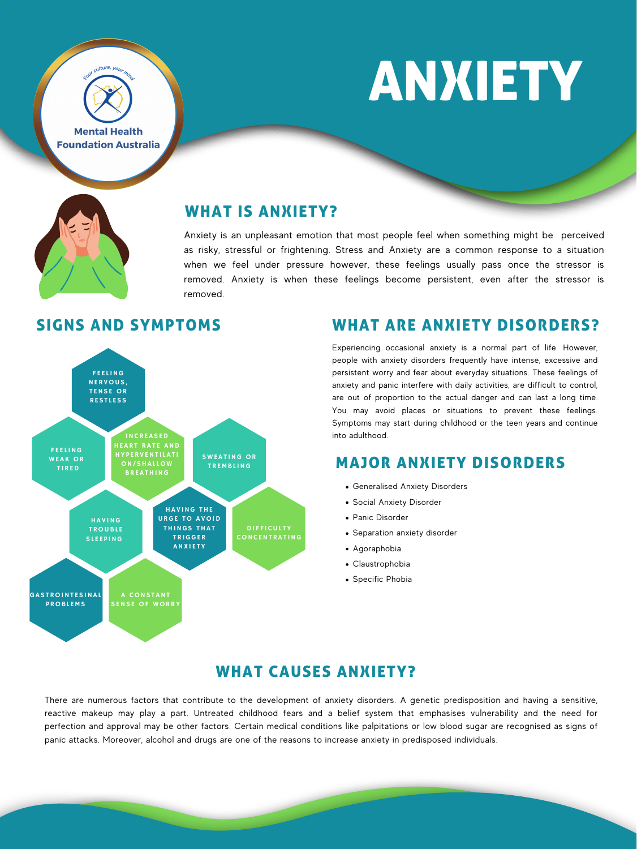**Mental Health Foundation Australia** 

Jour culture, your min

# ANXIETY



## WHAT IS ANXIETY?



Anxiety is an unpleasant emotion that most people feel when something might be perceived as risky, stressful or frightening. Stress and Anxiety are a common response to a situation when we feel under pressure however, these feelings usually pass once the stressor is removed. Anxiety is when these feelings become persistent, even after the stressor is removed.

# SIGNS AND SYMPTOMS

- Generalised Anxiety Disorders
- Social Anxiety Disorder
- Panic Disorder
- Separation anxiety disorder
- Agoraphobia
- Claustrophobia
- Specific Phobia

## WHAT ARE ANXIETY DISORDERS?

Experiencing occasional anxiety is a normal part of life. However, people with anxiety disorders frequently have intense, excessive and persistent worry and fear about everyday situations. These feelings of anxiety and panic interfere with daily activities, are difficult to control, are out of proportion to the actual danger and can last a long time. You may avoid places or situations to prevent these feelings. Symptoms may start during childhood or the teen years and continue into adulthood.

## MAJOR ANXIETY DISORDERS

# WHAT CAUSES ANXIETY?

There are numerous factors that contribute to the development of anxiety disorders. A genetic predisposition and having a sensitive, reactive makeup may play a part. Untreated childhood fears and a belief system that emphasises vulnerability and the need for perfection and approval may be other factors. Certain medical conditions like palpitations or low blood sugar are recognised as signs of panic attacks. Moreover, alcohol and drugs are one of the reasons to increase anxiety in predisposed individuals.